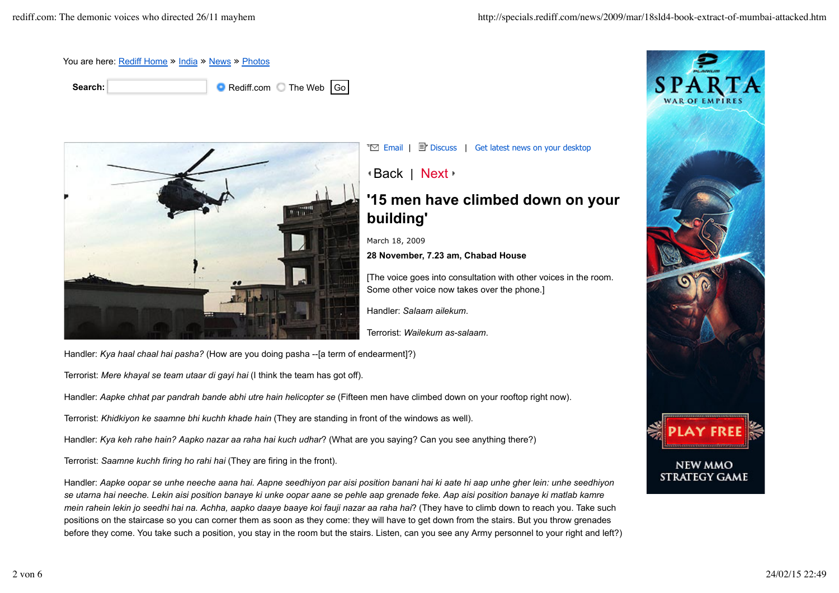

**Search: Search: Rediff.com** The Web Go



 $\overline{\mathbb{E}}$  Email |  $\overline{\mathbb{E}}$  Discuss | Get latest news on your desktop

## Back | Next

## **'15 men have climbed down on your building'**

March 18, 2009

**28 November, 7.23 am, Chabad House**

[The voice goes into consultation with other voices in the room. Some other voice now takes over the phone.]

Handler: *Salaam ailekum*.

Terrorist: *Wailekum as-salaam*.

Handler: *Kya haal chaal hai pasha?* (How are you doing pasha --[a term of endearment]?)

Terrorist: *Mere khayal se team utaar di gayi hai* (I think the team has got off).

Handler: *Aapke chhat par pandrah bande abhi utre hain helicopter se* (Fifteen men have climbed down on your rooftop right now).

Terrorist: *Khidkiyon ke saamne bhi kuchh khade hain* (They are standing in front of the windows as well).

Handler: *Kya keh rahe hain? Aapko nazar aa raha hai kuch udhar*? (What are you saying? Can you see anything there?)

Terrorist: *Saamne kuchh firing ho rahi hai* (They are firing in the front).

Handler: *Aapke oopar se unhe neeche aana hai. Aapne seedhiyon par aisi position banani hai ki aate hi aap unhe gher lein: unhe seedhiyon se utarna hai neeche. Lekin aisi position banaye ki unke oopar aane se pehle aap grenade feke. Aap aisi position banaye ki matlab kamre mein rahein lekin jo seedhi hai na. Achha, aapko daaye baaye koi fauji nazar aa raha hai*? (They have to climb down to reach you. Take such positions on the staircase so you can corner them as soon as they come: they will have to get down from the stairs. But you throw grenades before they come. You take such a position, you stay in the room but the stairs. Listen, can you see any Army personnel to your right and left?)

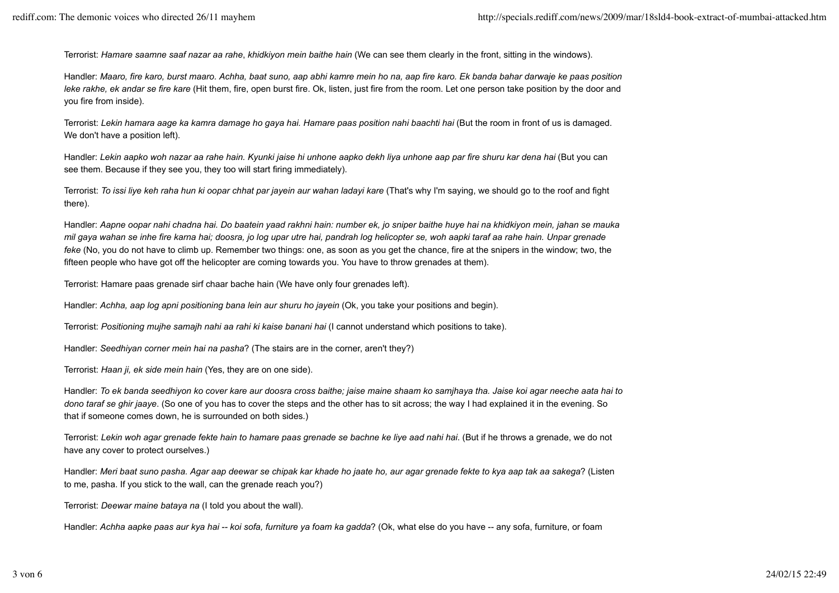Terrorist: *Hamare saamne saaf nazar aa rahe*, *khidkiyon mein baithe hain* (We can see them clearly in the front, sitting in the windows).

Handler: *Maaro, fire karo, burst maaro. Achha, baat suno, aap abhi kamre mein ho na, aap fire karo. Ek banda bahar darwaje ke paas position leke rakhe, ek andar se fire kare* (Hit them, fire, open burst fire. Ok, listen, just fire from the room. Let one person take position by the door and you fire from inside).

Terrorist: *Lekin hamara aage ka kamra damage ho gaya hai. Hamare paas position nahi baachti hai* (But the room in front of us is damaged. We don't have a position left).

Handler: *Lekin aapko woh nazar aa rahe hain. Kyunki jaise hi unhone aapko dekh liya unhone aap par fire shuru kar dena hai* (But you can see them. Because if they see you, they too will start firing immediately).

Terrorist: *To issi liye keh raha hun ki oopar chhat par jayein aur wahan ladayi kare* (That's why I'm saying, we should go to the roof and fight there).

Handler: *Aapne oopar nahi chadna hai. Do baatein yaad rakhni hain: number ek, jo sniper baithe huye hai na khidkiyon mein, jahan se mauka mil gaya wahan se inhe fire karna hai; doosra, jo log upar utre hai, pandrah log helicopter se, woh aapki taraf aa rahe hain. Unpar grenade feke* (No, you do not have to climb up. Remember two things: one, as soon as you get the chance, fire at the snipers in the window; two, the fifteen people who have got off the helicopter are coming towards you. You have to throw grenades at them).

Terrorist: Hamare paas grenade sirf chaar bache hain (We have only four grenades left).

Handler: *Achha, aap log apni positioning bana lein aur shuru ho jayein* (Ok, you take your positions and begin).

Terrorist: *Positioning mujhe samajh nahi aa rahi ki kaise banani hai* (I cannot understand which positions to take).

Handler: *Seedhiyan corner mein hai na pasha*? (The stairs are in the corner, aren't they?)

Terrorist: *Haan ji, ek side mein hain* (Yes, they are on one side).

Handler: *To ek banda seedhiyon ko cover kare aur doosra cross baithe; jaise maine shaam ko samjhaya tha. Jaise koi agar neeche aata hai to dono taraf se ghir jaaye*. (So one of you has to cover the steps and the other has to sit across; the way I had explained it in the evening. So that if someone comes down, he is surrounded on both sides.)

Terrorist: *Lekin woh agar grenade fekte hain to hamare paas grenade se bachne ke liye aad nahi hai*. (But if he throws a grenade, we do not have any cover to protect ourselves.)

Handler: *Meri baat suno pasha. Agar aap deewar se chipak kar khade ho jaate ho, aur agar grenade fekte to kya aap tak aa sakega*? (Listen to me, pasha. If you stick to the wall, can the grenade reach you?)

Terrorist: *Deewar maine bataya na* (I told you about the wall).

Handler: *Achha aapke paas aur kya hai -- koi sofa, furniture ya foam ka gadda*? (Ok, what else do you have -- any sofa, furniture, or foam